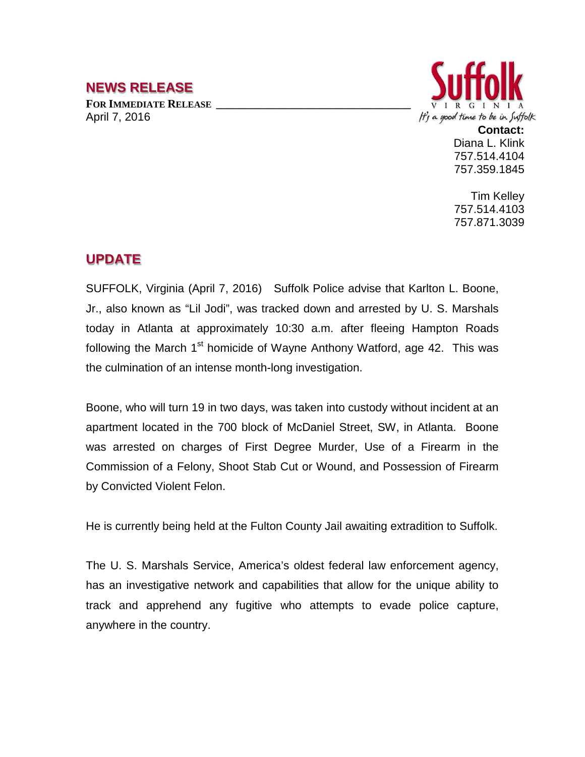## **NEWS RELEASE**

FOR **IMMEDIATE RELEASE** April 7, 2016



**Contact:** Diana L. Klink 757.514.4104 757.359.1845

Tim Kelley 757.514.4103 757.871.3039

## **UPDATE**

SUFFOLK, Virginia (April 7, 2016) Suffolk Police advise that Karlton L. Boone, Jr., also known as "Lil Jodi", was tracked down and arrested by U. S. Marshals today in Atlanta at approximately 10:30 a.m. after fleeing Hampton Roads following the March  $1<sup>st</sup>$  homicide of Wayne Anthony Watford, age 42. This was the culmination of an intense month-long investigation.

Boone, who will turn 19 in two days, was taken into custody without incident at an apartment located in the 700 block of McDaniel Street, SW, in Atlanta. Boone was arrested on charges of First Degree Murder, Use of a Firearm in the Commission of a Felony, Shoot Stab Cut or Wound, and Possession of Firearm by Convicted Violent Felon.

He is currently being held at the Fulton County Jail awaiting extradition to Suffolk.

The U. S. Marshals Service, America's oldest federal law enforcement agency, has an investigative network and capabilities that allow for the unique ability to track and apprehend any fugitive who attempts to evade police capture, anywhere in the country.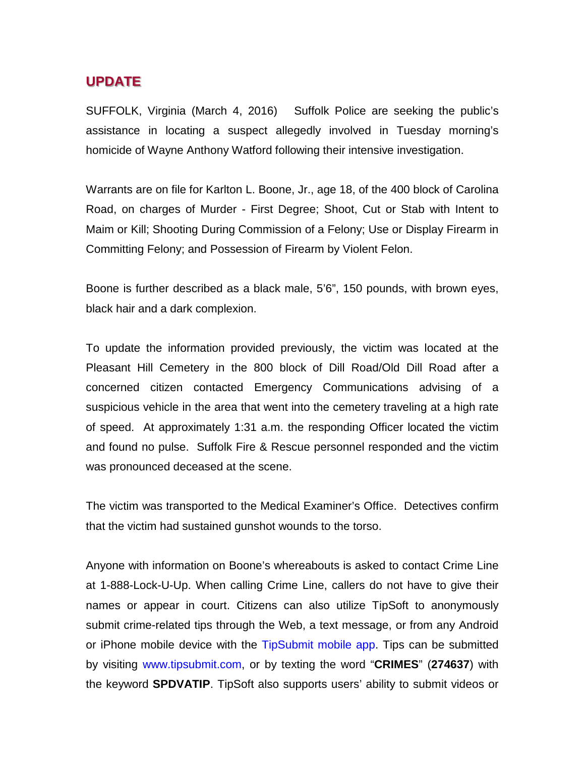## **UPDATE**

SUFFOLK, Virginia (March 4, 2016) Suffolk Police are seeking the public's assistance in locating a suspect allegedly involved in Tuesday morning's homicide of Wayne Anthony Watford following their intensive investigation.

Warrants are on file for Karlton L. Boone, Jr., age 18, of the 400 block of Carolina Road, on charges of Murder - First Degree; Shoot, Cut or Stab with Intent to Maim or Kill; Shooting During Commission of a Felony; Use or Display Firearm in Committing Felony; and Possession of Firearm by Violent Felon.

Boone is further described as a black male, 5'6", 150 pounds, with brown eyes, black hair and a dark complexion.

To update the information provided previously, the victim was located at the Pleasant Hill Cemetery in the 800 block of Dill Road/Old Dill Road after a concerned citizen contacted Emergency Communications advising of a suspicious vehicle in the area that went into the cemetery traveling at a high rate of speed. At approximately 1:31 a.m. the responding Officer located the victim and found no pulse. Suffolk Fire & Rescue personnel responded and the victim was pronounced deceased at the scene.

The victim was transported to the Medical Examiner's Office. Detectives confirm that the victim had sustained gunshot wounds to the torso.

Anyone with information on Boone's whereabouts is asked to contact Crime Line at 1-888-Lock-U-Up. When calling Crime Line, callers do not have to give their names or appear in court. Citizens can also utilize TipSoft to anonymously submit crime-related tips through the Web, a text message, or from any Android or iPhone mobile device with the TipSubmit mobile app. Tips can be submitted by visiting www.tipsubmit.com, or by texting the word "**CRIMES**" (**274637**) with the keyword **SPDVATIP**. TipSoft also supports users' ability to submit videos or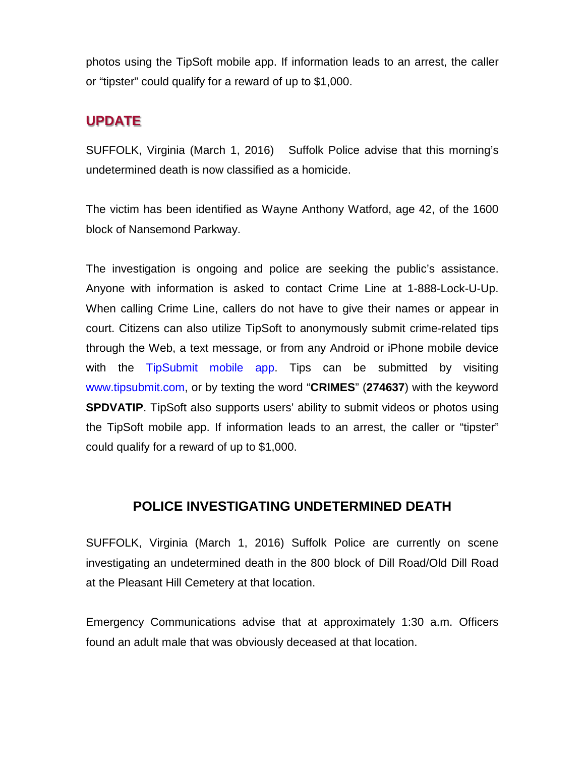photos using the TipSoft mobile app. If information leads to an arrest, the caller or "tipster" could qualify for a reward of up to \$1,000.

# **UPDATE**

SUFFOLK, Virginia (March 1, 2016) Suffolk Police advise that this morning's undetermined death is now classified as a homicide.

The victim has been identified as Wayne Anthony Watford, age 42, of the 1600 block of Nansemond Parkway.

The investigation is ongoing and police are seeking the public's assistance. Anyone with information is asked to contact Crime Line at 1-888-Lock-U-Up. When calling Crime Line, callers do not have to give their names or appear in court. Citizens can also utilize TipSoft to anonymously submit crime-related tips through the Web, a text message, or from any Android or iPhone mobile device with the TipSubmit mobile app. Tips can be submitted by visiting www.tipsubmit.com, or by texting the word "**CRIMES**" (**274637**) with the keyword **SPDVATIP.** TipSoft also supports users' ability to submit videos or photos using the TipSoft mobile app. If information leads to an arrest, the caller or "tipster" could qualify for a reward of up to \$1,000.

## **POLICE INVESTIGATING UNDETERMINED DEATH**

SUFFOLK, Virginia (March 1, 2016) Suffolk Police are currently on scene investigating an undetermined death in the 800 block of Dill Road/Old Dill Road at the Pleasant Hill Cemetery at that location.

Emergency Communications advise that at approximately 1:30 a.m. Officers found an adult male that was obviously deceased at that location.